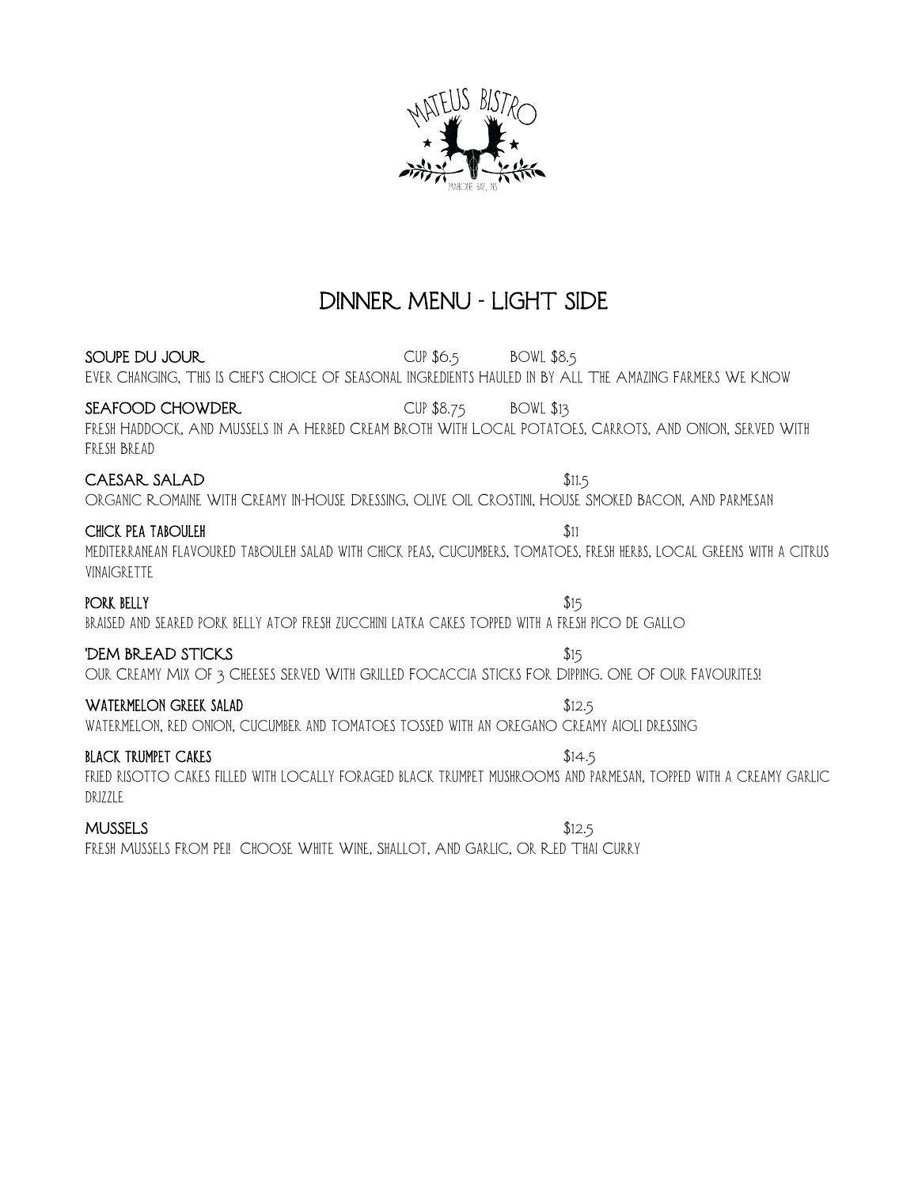

## DINNER MENU - LIGHT SIDE

SOUPE DU JOUR CUP \$6.5 BOWL \$8.5 Ever Changing, This Is Chef's Choice Of Seasonal Ingredients Hauled In By All The Amazing Farmers We Know SEAFOOD CHOWDER CUP \$8.75 BOWL \$13 Fresh Haddock, And Mussels In A Herbed Cream Broth With Local Potatoes, Carrots, And Onion, Served With Fresh Bread CAESAR SALAD \$11.5 Organic Romaine With Creamy In-House Dressing, Olive Oil Crostini, House Smoked Bacon, And Parmesan CHICK PEA TABOULEH  $$11$ mediterranean flavoured tabouleh salad with chick peas, cucumbers, tomatoes, fresh herbs, local greens with a citrus vinaigrette PORK BELLY  $$15$ braised and seared pork belly atop fresh zucchini latka cakes topped with a fresh pico de gallo **THEM BREAD STICKS**  $$15$ Our Creamy Mix Of 3 Cheeses Served With Grilled Focaccia Sticks For Dipping. One Of Our Favourites! WATERMELON GREEK SALAD \$12.5 watermelon, red onion, cucumber and tomatoes tossed with an oregano creamy aioli dressing **BLACK TRUMPET CAKES** \$14.5 fried risotto cakes filled with locally foraged black trumpet mushrooms and parmesan, topped with a creamy garlic DRIZZLE  $MUSSELS$   $$12.5$ 

Fresh Mussels From Pei! Choose White Wine, Shallot, And Garlic, Or Red Thai Curry